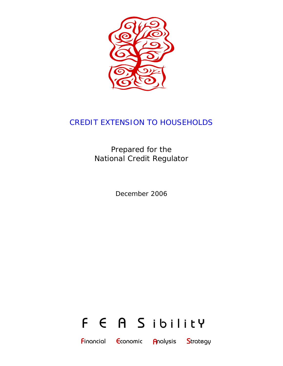

# CREDIT EXTENSION TO HOUSEHOLDS

Prepared for the National Credit Regulator

December 2006



**F**inancial **E**conomic **A**nalysis **S**trategy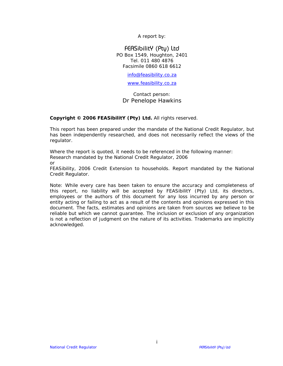A report by:

### FEASibilitY (Pty) Ltd PO Box 1549, Houghton, 2401 Tel. 011 480 4876 Facsimile 0860 618 6612

info@feasibility.co.za

www.feasibility.co.za

Contact person: Dr Penelope Hawkins

### **Copyright © 2006 FEASibilitY (Pty) Ltd.** All rights reserved.

This report has been prepared under the mandate of the National Credit Regulator, but has been independently researched, and does not necessarily reflect the views of the regulator.

Where the report is quoted, it needs to be referenced in the following manner: Research mandated by the National Credit Regulator, 2006

or

FEASibility, 2006 *Credit Extension to households*. Report mandated by the National Credit Regulator.

Note: While every care has been taken to ensure the accuracy and completeness of this report, no liability will be accepted by FEASibilitY (Pty) Ltd, its directors, employees or the authors of this document for any loss incurred by any person or entity acting or failing to act as a result of the contents and opinions expressed in this document. The facts, estimates and opinions are taken from sources we believe to be reliable but which we cannot guarantee. The inclusion or exclusion of any organization is not a reflection of judgment on the nature of its activities. Trademarks are implicitly acknowledged.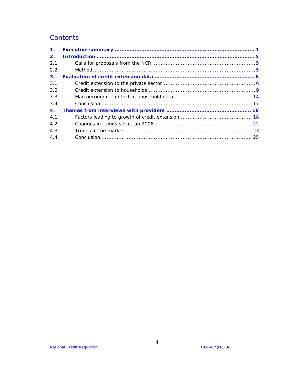# **Contents**

| $\mathbf{1}$ .     |  |
|--------------------|--|
| 2.                 |  |
| 2.1                |  |
| 2.2                |  |
| 3.                 |  |
| 3.1                |  |
| 3.2                |  |
| 3.3                |  |
| 3.4                |  |
| $\blacktriangle$ . |  |
| 4.1                |  |
| 4.2                |  |
| 4.3                |  |
| 4.4                |  |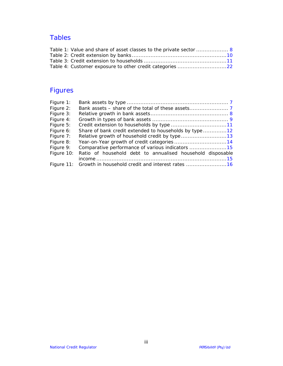# Tables

| Table 1: Value and share of asset classes to the private sector  8 |  |
|--------------------------------------------------------------------|--|
|                                                                    |  |
|                                                                    |  |
|                                                                    |  |

# Figures

| Figure 1:  |                                                             |
|------------|-------------------------------------------------------------|
| Figure 2:  |                                                             |
| Figure 3:  |                                                             |
| Figure 4:  |                                                             |
| Figure 5:  |                                                             |
| Figure 6:  | Share of bank credit extended to households by type12       |
| Figure 7:  |                                                             |
| Figure 8:  |                                                             |
| Figure 9:  | Comparative performance of various indicators 15            |
| Figure 10: | Ratio of household debt to annualised household disposable  |
|            |                                                             |
|            | Figure 11: Growth in household credit and interest rates 16 |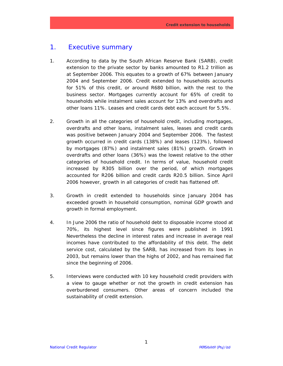# 1. Executive summary

- 1. According to data by the South African Reserve Bank (SARB), credit extension to the private sector by banks amounted to R1.2 trillion as at September 2006. This equates to a growth of 67% between January 2004 and September 2006. Credit extended to households accounts for 51% of this credit, or around R680 billion, with the rest to the business sector. Mortgages currently account for 65% of credit to households while instalment sales account for 13% and overdrafts and other loans 11%. Leases and credit cards debt each account for 5.5%.
- 2. Growth in all the categories of household credit, including mortgages, overdrafts and other loans, instalment sales, leases and credit cards was positive between January 2004 and September 2006. The fastest growth occurred in credit cards (138%) and leases (123%), followed by mortgages (87%) and instalment sales (81%) growth. Growth in overdrafts and other loans (36%) was the lowest relative to the other categories of household credit. In terms of value, household credit increased by R305 billion over the period, of which mortgages accounted for R206 billion and credit cards R20.5 billion. Since April 2006 however, growth in all categories of credit has flattened off.
- 3. Growth in credit extended to households since January 2004 has exceeded growth in household consumption, nominal GDP growth and growth in formal employment.
- 4. In June 2006 the ratio of household debt to disposable income stood at 70%, its highest level since figures were published in 1991 Nevertheless the decline in interest rates and increase in average real incomes have contributed to the affordability of this debt. The debt service cost, calculated by the SARB, has increased from its lows in 2003, but remains lower than the highs of 2002, and has remained flat since the beginning of 2006.
- 5. Interviews were conducted with 10 key household credit providers with a view to gauge whether or not the growth in credit extension has overburdened consumers. Other areas of concern included the sustainability of credit extension.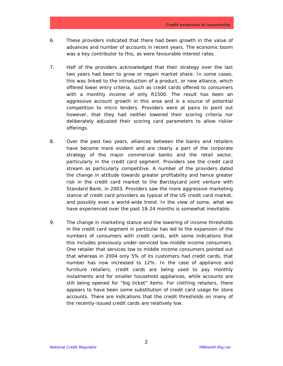- 6. These providers indicated that there had been growth in the value of advances and number of accounts in recent years. The economic boom was a key contributor to this, as were favourable interest rates.
- 7. Half of the providers acknowledged that their strategy over the last two years had been to grow or regain market share. In some cases, this was linked to the introduction of a product, or new alliance, which offered lower entry criteria, such as credit cards offered to consumers with a monthly income of only R1500. The result has been an aggressive account growth in this area and is a source of potential competition to micro lenders. Providers were at pains to point out however, that they had neither lowered their scoring criteria nor deliberately adjusted their scoring card parameters to allow riskier offerings.
- 8. Over the past two years, alliances between the banks and retailers have become more evident and are clearly a part of the corporate strategy of the major commercial banks and the retail sector, particularly in the credit card segment. Providers see the credit card stream as particularly competitive. A number of the providers dated the change in attitude towards greater profitability and hence greater risk in the credit card market to the Barclaycard joint venture with Standard Bank, in 2003. Providers saw the more aggressive marketing stance of credit card providers as typical of the US credit card market, and possibly even a world-wide trend. In the view of some, what we have experienced over the past 18-24 months is somewhat inevitable.
- 9. The change in marketing stance and the lowering of income thresholds in the credit card segment in particular has led to the expansion of the numbers of consumers with credit cards, with some indications that this includes previously under-serviced low-middle income consumers. One retailer that services low to middle income consumers pointed out that whereas in 2004 only 5% of its customers had credit cards, that number has now increased to 12%. In the case of appliance and furniture retailers, credit cards are being used to pay monthly instalments and for smaller household appliances, while accounts are still being opened for "big ticket" items. For clothing retailers, there appears to have been some substitution of credit card usage for store accounts. There are indications that the credit thresholds on many of the recently-issued credit cards are relatively low.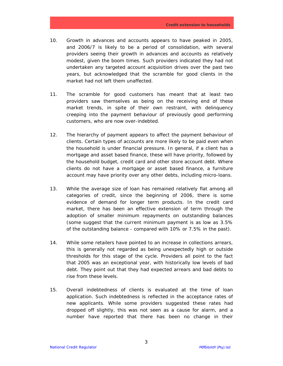- 10. Growth in advances and accounts appears to have peaked in 2005, and 2006/7 is likely to be a period of consolidation, with several providers seeing their growth in advances and accounts as relatively modest, given the boom times. Such providers indicated they had not undertaken any targeted account acquisition drives over the past two years, but acknowledged that the scramble for good clients in the market had not left them unaffected.
- 11. The scramble for good customers has meant that at least two providers saw themselves as being on the receiving end of these market trends, in spite of their own restraint, with delinquency creeping into the payment behaviour of previously good performing customers, who are now over-indebted.
- 12. The hierarchy of payment appears to affect the payment behaviour of clients. Certain types of accounts are more likely to be paid even when the household is under financial pressure. In general, if a client has a mortgage and asset based finance, these will have priority, followed by the household budget, credit card and other store account debt. Where clients do not have a mortgage or asset based finance, a furniture account may have priority over any other debts, including micro-loans.
- 13. While the average size of loan has remained relatively flat among all categories of credit, since the beginning of 2006, there is some evidence of demand for longer term products. In the credit card market, there has been an effective extension of term through the adoption of smaller minimum repayments on outstanding balances (some suggest that the current minimum payment is as low as 3.5% of the outstanding balance - compared with 10% or 7.5% in the past).
- 14. While some retailers have pointed to an increase in collections arrears, this is generally not regarded as being unexpectedly high or outside thresholds for this stage of the cycle. Providers all point to the fact that 2005 was an exceptional year, with historically low levels of bad debt. They point out that they had expected arrears and bad debts to rise from these levels.
- 15. Overall indebtedness of clients is evaluated at the time of loan application. Such indebtedness is reflected in the acceptance rates of new applicants. While some providers suggested these rates had dropped off slightly, this was not seen as a cause for alarm, and a number have reported that there has been no change in their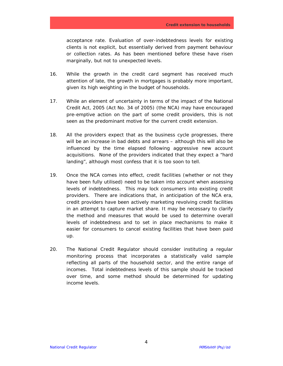acceptance rate. Evaluation of over-indebtedness levels for existing clients is not explicit, but essentially derived from payment behaviour or collection rates. As has been mentioned before these have risen marginally, but not to unexpected levels.

- 16. While the growth in the credit card segment has received much attention of late, the growth in mortgages is probably more important, given its high weighting in the budget of households.
- 17. While an element of uncertainty in terms of the impact of the National Credit Act, 2005 (Act No. 34 of 2005) (the NCA) may have encouraged pre-emptive action on the part of some credit providers, this is not seen as the predominant motive for the current credit extension.
- 18. All the providers expect that as the business cycle progresses, there will be an increase in bad debts and arrears – although this will also be influenced by the time elapsed following aggressive new account acquisitions. None of the providers indicated that they expect a "hard landing", although most confess that it is too soon to tell.
- 19. Once the NCA comes into effect, credit facilities (whether or not they have been fully utilised) need to be taken into account when assessing levels of indebtedness. This may lock consumers into existing credit providers. There are indications that, in anticipation of the NCA era, credit providers have been actively marketing revolving credit facilities in an attempt to capture market share. It may be necessary to clarify the method and measures that would be used to determine overall levels of indebtedness and to set in place mechanisms to make it easier for consumers to cancel existing facilities that have been paid up.
- 20. The National Credit Regulator should consider instituting a regular monitoring process that incorporates a statistically valid sample reflecting all parts of the household sector, and the entire range of incomes. Total indebtedness levels of this sample should be tracked over time, and some method should be determined for updating income levels.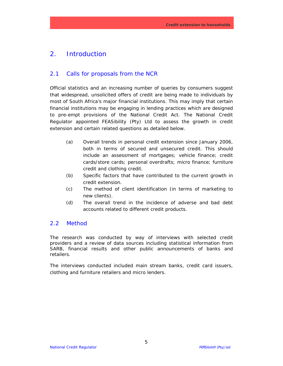# 2. Introduction

# 2.1 Calls for proposals from the NCR

Official statistics and an increasing number of queries by consumers suggest that widespread, unsolicited offers of credit are being made to individuals by most of South Africa's major financial institutions. This may imply that certain financial institutions may be engaging in lending practices which are designed to pre-empt provisions of the National Credit Act. The National Credit Regulator appointed FEASibility (Pty) Ltd to assess the growth in credit extension and certain related questions as detailed below.

- (a) Overall trends in personal credit extension since January 2006, both in terms of secured and unsecured credit. This should include an assessment of mortgages; vehicle finance; credit cards/store cards; personal overdrafts; micro finance; furniture credit and clothing credit.
- (b) Specific factors that have contributed to the current growth in credit extension.
- (c) The method of client identification (in terms of marketing to new clients).
- (d) The overall trend in the incidence of adverse and bad debt accounts related to different credit products.

# 2.2 Method

The research was conducted by way of interviews with selected credit providers and a review of data sources including statistical information from SARB, financial results and other public announcements of banks and retailers.

The interviews conducted included main stream banks, credit card issuers, clothing and furniture retailers and micro lenders.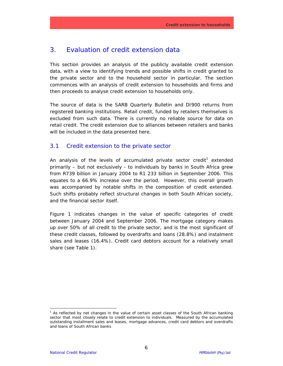# 3. Evaluation of credit extension data

This section provides an analysis of the publicly available credit extension data, with a view to identifying trends and possible shifts in credit granted to the private sector and to the household sector in particular. The section commences with an analysis of credit extension to households and firms and then proceeds to analyse credit extension to households only.

The source of data is the SARB Quarterly Bulletin and DI900 returns from registered banking institutions. Retail credit, funded by retailers themselves is excluded from such data. There is currently no reliable source for data on retail credit. The credit extension due to alliances between retailers and banks will be included in the data presented here.

### 3.1 Credit extension to the private sector

An analysis of the levels of accumulated private sector credit<sup>1</sup> extended primarily – but not exclusively - to individuals by banks in South Africa grew from R739 billion in January 2004 to R1 233 billion in September 2006. This equates to a 66.9% increase over the period. However, this overall growth was accompanied by notable shifts in the composition of credit extended. Such shifts probably reflect structural changes in both South African society, and the financial sector itself.

Figure 1 indicates changes in the value of specific categories of credit between January 2004 and September 2006. The mortgage category makes up over 50% of all credit to the private sector, and is the most significant of these credit classes, followed by overdrafts and loans (28.8%) and instalment sales and leases (16.4%). Credit card debtors account for a relatively small share (see Table 1).

-

<sup>&</sup>lt;sup>1</sup> As reflected by net changes in the value of certain asset classes of the South African banking sector that most closely relate to credit extension to individuals. Measured by the accumulated outstanding installment sales and leases, mortgage advances, credit card debtors and overdrafts and loans of South African banks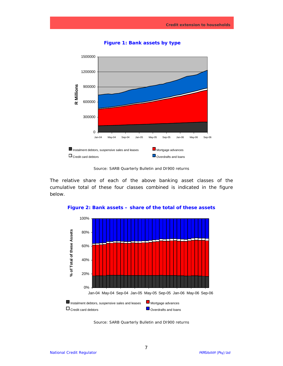

**Figure 1: Bank assets by type** 

*Source: SARB Quarterly Bulletin and DI900 returns*

The relative share of each of the above banking asset classes of the cumulative total of these four classes combined is indicated in the figure below.



**Figure 2: Bank assets – share of the total of these assets** 

*Source: SARB Quarterly Bulletin and DI900 returns*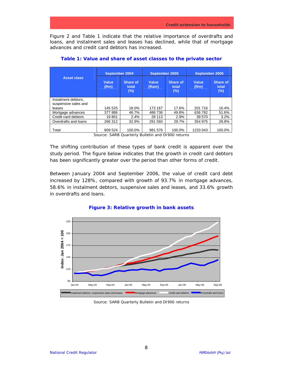Figure 2 and Table 1 indicate that the relative importance of overdrafts and loans, and instalment sales and leases has declined, while that of mortgage advances and credit card debtors has increased.

|                                             | September 2004 |                              | September 2005        |                          | September 2006 |                                 |
|---------------------------------------------|----------------|------------------------------|-----------------------|--------------------------|----------------|---------------------------------|
| <b>Asset class</b>                          | Value<br>(Rm)  | Share of<br>total<br>$(\% )$ | <b>Value</b><br>(Ram) | Share of<br>total<br>(%) | Value<br>(Rm)  | <b>Share of</b><br>total<br>(%) |
| Instalment debtors.<br>suspensive sales and |                |                              |                       |                          |                |                                 |
| leases                                      | 145 525        | 18.0%                        | 173 167               | 17.6%                    | 201 716        | 16.4%                           |
| Mortgage advances                           | 377886         | 46.7%                        | 488 736               | 49.8%                    | 636 782        | 51.6%                           |
| Credit card debtors                         | 19801          | 2.4%                         | 28 113                | 2.9%                     | 39 570         | 3.2%                            |
| Overdrafts and loans                        | 266 312        | 32.9%                        | 291 560               | 29.7%                    | 354 975        | 28.8%                           |
| Total                                       | 809 524        | 100.0%                       | 981 576               | 100.0%                   | 1233 043       | 100.0%                          |

**Table 1: Value and share of asset classes to the private sector** 

The shifting contribution of these types of bank credit is apparent over the study period. The figure below indicates that the growth in credit card debtors has been significantly greater over the period than other forms of credit.

Between January 2004 and September 2006, the value of credit card debt increased by 128%, compared with growth of 93.7% in mortgage advances, 58.6% in instalment debtors, suspensive sales and leases, and 33.6% growth in overdrafts and loans.



### **Figure 3: Relative growth in bank assets**

*Source: SARB Quarterly Bulletin and DI900 returns* 

*Source: SARB Quarterly Bulletin and DI900 returns*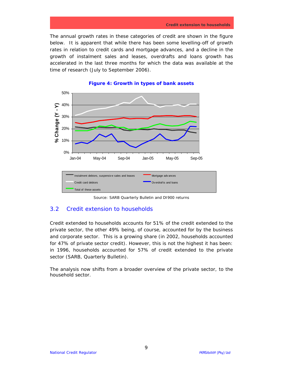The annual growth rates in these categories of credit are shown in the figure below. It is apparent that while there has been some levelling-off of growth rates in relation to credit cards and mortgage advances, and a decline in the growth of instalment sales and leases, overdrafts and loans growth has accelerated in the last three months for which the data was available at the time of research (July to September 2006).





*Source: SARB Quarterly Bulletin and DI900 returns*

# 3.2 Credit extension to households

Credit extended to households accounts for 51% of the credit extended to the private sector, the other 49% being, of course, accounted for by the business and corporate sector. This is a growing share (in 2002, households accounted for 47% of private sector credit). However, this is not the highest it has been: in 1996, households accounted for 57% of credit extended to the private sector (SARB, Quarterly Bulletin).

The analysis now shifts from a broader overview of the private sector, to the household sector.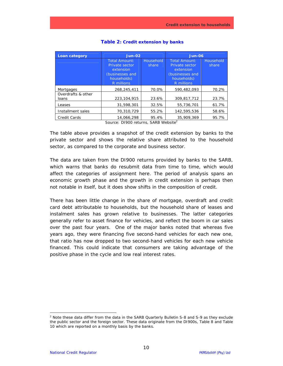| Loan category               | <b>Jun-02</b>                                                                                                                                                                   |                    | <b>Jun-06</b>                                                   |                    |  |
|-----------------------------|---------------------------------------------------------------------------------------------------------------------------------------------------------------------------------|--------------------|-----------------------------------------------------------------|--------------------|--|
|                             | Total Amount:<br>Private sector<br>extension<br>(businesses and                                                                                                                 | Household<br>share | Total Amount:<br>Private sector<br>extension<br>(businesses and | Household<br>share |  |
|                             | households)<br>R millions                                                                                                                                                       |                    | households)<br>R millions                                       |                    |  |
| Mortgages                   | 268,245,411                                                                                                                                                                     | 70.0%              | 590.482.093                                                     | 70.2%              |  |
| Overdrafts & other<br>loans | 223,104,915                                                                                                                                                                     | 23.6%              | 309.817.712                                                     | 23.7%              |  |
| Leases                      | 31,598,301                                                                                                                                                                      | 32.5%              | 55.736.701                                                      | 61.7%              |  |
| Installment sales           | 70,310,729                                                                                                                                                                      | 55.2%              | 142,595,536                                                     | 58.6%              |  |
| <b>Credit Cards</b>         | 14,066,298<br>$C_{21}$ $\mu$ <sub>22</sub> $D1000$ $\mu$ <sub>2</sub> $\mu$ <sub>1</sub> $\mu$ <sub>2</sub> $C1$ <sub>DD</sub> $11/\lambda$ <sub>2</sub> $\lambda$ <sub>2</sub> | 95.4%              | 35,909,369                                                      | 95.7%              |  |

#### **Table 2: Credit extension by banks**

*Source: DI900 returns, SARB Website<sup>2</sup>*

The table above provides a snapshot of the credit extension by banks to the private sector and shows the relative share attributed to the household sector, as compared to the corporate and business sector.

The data are taken from the DI900 returns provided by banks to the SARB, which warns that banks do resubmit data from time to time, which would affect the categories of assignment here. The period of analysis spans an economic growth phase and the growth in credit extension is perhaps then not notable in itself, but it does show shifts in the composition of credit.

There has been little change in the share of mortgage, overdraft and credit card debt attributable to households, but the household share of leases and instalment sales has grown relative to businesses. The latter categories generally refer to asset finance for vehicles, and reflect the boom in car sales over the past four years. One of the major banks noted that whereas five years ago, they were financing five second-hand vehicles for each new one, that ratio has now dropped to two second-hand vehicles for each new vehicle financed. This could indicate that consumers are taking advantage of the positive phase in the cycle and low real interest rates.

-

<sup>&</sup>lt;sup>2</sup> Note these data differ from the data in the SARB Quarterly Bulletin S-8 and S-9 as they exclude the public sector and the foreign sector. These data originate from the DI900s, Table 8 and Table 10 which are reported on a monthly basis by the banks.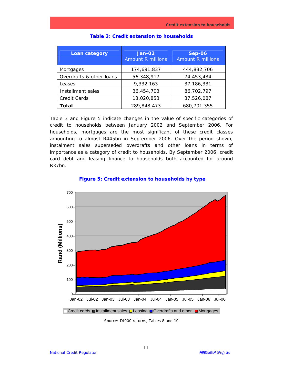| <b>Loan category</b>     | <b>Jan-02</b><br><b>Amount R millions</b> | <b>Sep-06</b><br><b>Amount R millions</b> |
|--------------------------|-------------------------------------------|-------------------------------------------|
| Mortgages                | 174,691,837                               | 444,832,706                               |
| Overdrafts & other loans | 56,348,917                                | 74,453,434                                |
| Leases                   | 9,332,163                                 | 37, 186, 331                              |
| Installment sales        | 36,454,703                                | 86,702,797                                |
| Credit Cards             | 13,020,853                                | 37,526,087                                |
| Total                    | 289,848,473                               | 680,701,355                               |

#### **Table 3: Credit extension to households**

Table 3 and Figure 5 indicate changes in the value of specific categories of credit to households between January 2002 and September 2006. For households, mortgages are the most significant of these credit classes amounting to almost R445bn in September 2006. Over the period shown, instalment sales superseded overdrafts and other loans in terms of importance as a category of credit to households. By September 2006, credit card debt and leasing finance to households both accounted for around R37bn.



### **Figure 5: Credit extension to households by type**

*Source: DI900 returns, Tables 8 and 10*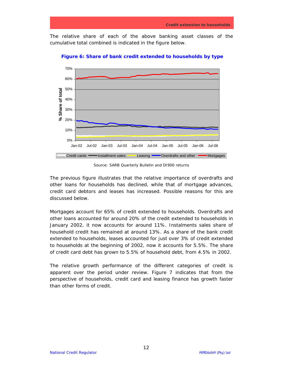The relative share of each of the above banking asset classes of the cumulative total combined is indicated in the figure below.



**Figure 6: Share of bank credit extended to households by type** 

*Source: SARB Quarterly Bulletin and DI900 returns* 

The previous figure illustrates that the relative importance of overdrafts and other loans for households has declined, while that of mortgage advances, credit card debtors and leases has increased. Possible reasons for this are discussed below.

Mortgages account for 65% of credit extended to households. Overdrafts and other loans accounted for around 20% of the credit extended to households in January 2002, it now accounts for around 11%. Instalments sales share of household credit has remained at around 13%. As a share of the bank credit extended to households, leases accounted for just over 3% of credit extended to households at the beginning of 2002, now it accounts for 5.5%. The share of credit card debt has grown to 5.5% of household debt, from 4.5% in 2002.

The relative growth performance of the different categories of credit is apparent over the period under review. Figure 7 indicates that from the perspective of households, credit card and leasing finance has growth faster than other forms of credit.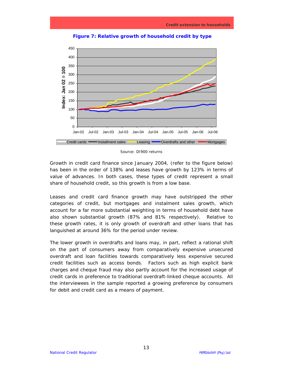

**Figure 7: Relative growth of household credit by type** 

Growth in credit card finance since January 2004, (refer to the figure below) has been in the order of 138% and leases have growth by 123% in terms of value of advances. In both cases, these types of credit represent a small share of household credit, so this growth is from a low base.

Leases and credit card finance growth may have outstripped the other categories of credit, but mortgages and instalment sales growth, which account for a far more substantial weighting in terms of household debt have also shown substantial growth (87% and 81% respectively). Relative to these growth rates, it is only growth of overdraft and other loans that has languished at around 36% for the period under review.

The lower growth in overdrafts and loans may, in part, reflect a rational shift on the part of consumers away from comparatively expensive unsecured overdraft and loan facilities towards comparatively less expensive secured credit facilities such as access bonds. Factors such as high explicit bank charges and cheque fraud may also partly account for the increased usage of credit cards in preference to traditional overdraft-linked cheque accounts. All the interviewees in the sample reported a growing preference by consumers for debit and credit card as a means of payment.

*Source: DI900 returns*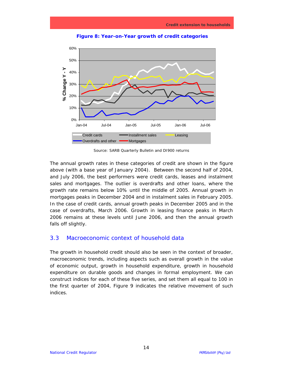

**Figure 8: Year-on-Year growth of credit categories** 

*Source: SARB Quarterly Bulletin and DI900 returns*

The annual growth rates in these categories of credit are shown in the figure above (with a base year of January 2004). Between the second half of 2004, and July 2006, the best performers were credit cards, leases and instalment sales and mortgages. The outlier is overdrafts and other loans, where the growth rate remains below 10% until the middle of 2005. Annual growth in mortgages peaks in December 2004 and in instalment sales in February 2005. In the case of credit cards, annual growth peaks in December 2005 and in the case of overdrafts, March 2006. Growth in leasing finance peaks in March 2006 remains at these levels until June 2006, and then the annual growth falls off slightly.

# 3.3 Macroeconomic context of household data

The growth in household credit should also be seen in the context of broader, macroeconomic trends, including aspects such as overall growth in the value of economic output, growth in household expenditure, growth in household expenditure on durable goods and changes in formal employment. We can construct indices for each of these five series, and set them all equal to 100 in the first quarter of 2004, Figure 9 indicates the relative movement of such indices.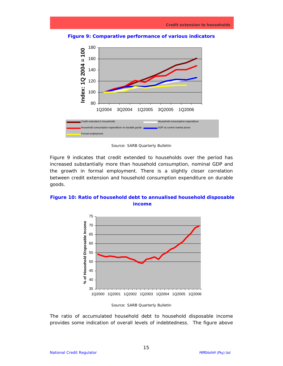



*Source: SARB Quarterly Bulletin*

Figure 9 indicates that credit extended to households over the period has increased substantially more than household consumption, nominal GDP and the growth in formal employment. There is a slightly closer correlation between credit extension and household consumption expenditure on durable goods.

**Figure 10: Ratio of household debt to annualised household disposable income** 



*Source: SARB Quarterly Bulletin*

The ratio of accumulated household debt to household disposable income provides some indication of overall levels of indebtedness. The figure above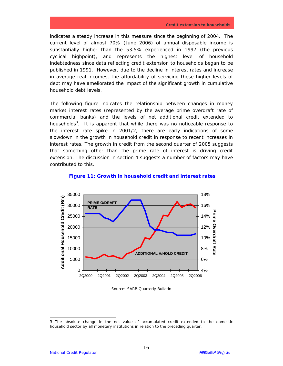indicates a steady increase in this measure since the beginning of 2004. The current level of almost 70% (June 2006) of annual disposable income is substantially higher than the 53.5% experienced in 1997 (the previous cyclical highpoint), and represents the highest level of household indebtedness since data reflecting credit extension to households began to be published in 1991. However, due to the decline in interest rates and increase in average real incomes, the affordability of servicing these higher levels of debt may have ameliorated the impact of the significant growth in cumulative household debt levels.

The following figure indicates the relationship between changes in money market interest rates (represented by the average prime overdraft rate of commercial banks) and the levels of net additional credit extended to households<sup>3</sup>. It is apparent that while there was no noticeable response to the interest rate spike in 2001/2, there are early indications of some slowdown in the growth in household credit in response to recent increases in interest rates. The growth in credit from the second quarter of 2005 suggests that something other than the prime rate of interest is driving credit extension. The discussion in section 4 suggests a number of factors may have contributed to this.



#### **Figure 11: Growth in household credit and interest rates**

*Source: SARB Quarterly Bulletin*

-

<sup>3</sup> The absolute change in the net value of accumulated credit extended to the domestic household sector by all monetary institutions in relation to the preceding quarter.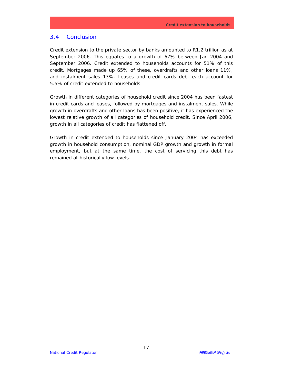### 3.4 Conclusion

Credit extension to the private sector by banks amounted to R1.2 trillion as at September 2006. This equates to a growth of 67% between Jan 2004 and September 2006. Credit extended to households accounts for 51% of this credit. Mortgages made up 65% of these, overdrafts and other loans 11%, and instalment sales 13%. Leases and credit cards debt each account for 5.5% of credit extended to households.

Growth in different categories of household credit since 2004 has been fastest in credit cards and leases, followed by mortgages and instalment sales. While growth in overdrafts and other loans has been positive, it has experienced the lowest relative growth of all categories of household credit. Since April 2006, growth in all categories of credit has flattened off.

Growth in credit extended to households since January 2004 has exceeded growth in household consumption, nominal GDP growth and growth in formal employment, but at the same time, the cost of servicing this debt has remained at historically low levels.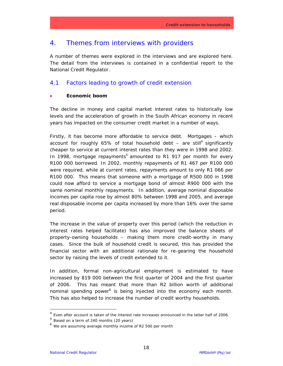# 4. Themes from interviews with providers

A number of themes were explored in the interviews and are explored here. The detail from the interviews is contained in a confidential report to the National Credit Regulator.

# 4.1 Factors leading to growth of credit extension

### • **Economic boom**

The decline in money and capital market interest rates to historically low levels and the acceleration of growth in the South African economy in recent years has impacted on the consumer credit market in a number of ways.

Firstly, it has become more affordable to service debt. Mortgages – which account for roughly 65% of total household debt – are still<sup>4</sup> significantly cheaper to service at current interest rates than they were in 1998 and 2002. In 1998, mortgage repayments<sup>5</sup> amounted to R1 917 per month for every R100 000 borrowed. In 2002, monthly repayments of R1 467 per R100 000 were required, while at current rates, repayments amount to only R1 066 per R100 000. This means that someone with a mortgage of R500 000 in 1998 could now afford to service a mortgage bond of almost R900 000 with the same nominal monthly repayments. In addition, average nominal disposable incomes per capita rose by almost 80% between 1998 and 2005, and average real disposable income per capita increased by more than 16% over the same period.

The increase in the value of property over this period (which the reduction in interest rates helped facilitate) has also improved the balance sheets of property-owning households – making them more credit-worthy in many cases. Since the bulk of household credit is secured, this has provided the financial sector with an additional rationale for re-gearing the household sector by raising the levels of credit extended to it.

In addition, formal non-agricultural employment is estimated to have increased by 819 000 between the first quarter of 2004 and the first quarter of 2006. This has meant that more than R2 billion worth of additional nominal spending power<sup>6</sup> is being injected into the economy each month. This has also helped to increase the number of credit worthy households.

 $\overline{a}$ 

 $4$  Even after account is taken of the interest rate increases announced in the latter half of 2006.

 $<sup>5</sup>$  Based on a term of 240 months (20 years)</sup>

 $<sup>6</sup>$  We are assuming average monthly income of R2 500 per month</sup>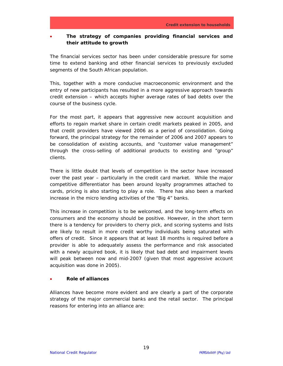# • **The strategy of companies providing financial services and their attitude to growth**

The financial services sector has been under considerable pressure for some time to extend banking and other financial services to previously excluded segments of the South African population.

This, together with a more conducive macroeconomic environment and the entry of new participants has resulted in a more aggressive approach towards credit extension – which accepts higher average rates of bad debts over the course of the business cycle.

For the most part, it appears that aggressive new account acquisition and efforts to regain market share in certain credit markets peaked in 2005, and that credit providers have viewed 2006 as a period of consolidation. Going forward, the principal strategy for the remainder of 2006 and 2007 appears to be consolidation of existing accounts, and "customer value management" through the cross-selling of additional products to existing and "group" clients.

There is little doubt that levels of competition in the sector have increased over the past year – particularly in the credit card market. While the major competitive differentiator has been around loyalty programmes attached to cards, pricing is also starting to play a role. There has also been a marked increase in the micro lending activities of the "Big 4" banks.

This increase in competition is to be welcomed, and the long-term effects on consumers and the economy should be positive. However, in the short term there is a tendency for providers to cherry pick, and scoring systems and lists are likely to result in more credit worthy individuals being saturated with offers of credit. Since it appears that at least 18 months is required before a provider is able to adequately assess the performance and risk associated with a newly acquired book, it is likely that bad debt and impairment levels will peak between now and mid-2007 (given that most aggressive account acquisition was done in 2005).

### • **Role of alliances**

Alliances have become more evident and are clearly a part of the corporate strategy of the major commercial banks and the retail sector. The principal reasons for entering into an alliance are: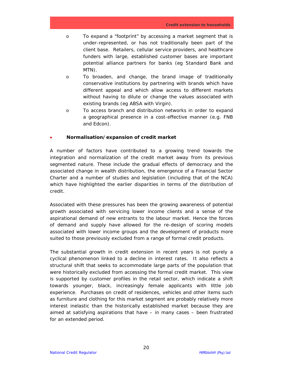- o To expand a "footprint" by accessing a market segment that is under-represented, or has not traditionally been part of the client base. Retailers, cellular service providers, and healthcare funders with large, established customer bases are important potential alliance partners for banks (eg Standard Bank and MTN).
- o To broaden, and change, the brand image of traditionally conservative institutions by partnering with brands which have different appeal and which allow access to different markets without having to dilute or change the values associated with existing brands (eg ABSA with Virgin).
- o To access branch and distribution networks in order to expand a geographical presence in a cost-effective manner (e.g. FNB and Edcon).

### • **Normalisation/expansion of credit market**

A number of factors have contributed to a growing trend towards the integration and normalization of the credit market away from its previous segmented nature. These include the gradual effects of democracy and the associated change in wealth distribution, the emergence of a Financial Sector Charter and a number of studies and legislation (including that of the NCA) which have highlighted the earlier disparities in terms of the distribution of credit.

Associated with these pressures has been the growing awareness of potential growth associated with servicing lower income clients and a sense of the aspirational demand of new entrants to the labour market. Hence the forces of demand and supply have allowed for the re-design of scoring models associated with lower income groups and the development of products more suited to those previously excluded from a range of formal credit products.

The substantial growth in credit extension in recent years is not purely a cyclical phenomenon linked to a decline in interest rates. It also reflects a structural shift that seeks to accommodate large parts of the population that were historically excluded from accessing the formal credit market. This view is supported by customer profiles in the retail sector, which indicate a shift towards younger, black, increasingly female applicants with little job experience. Purchases on credit of residences, vehicles and other items such as furniture and clothing for this market segment are probably relatively more interest inelastic than the historically established market because they are aimed at satisfying aspirations that have – in many cases – been frustrated for an extended period.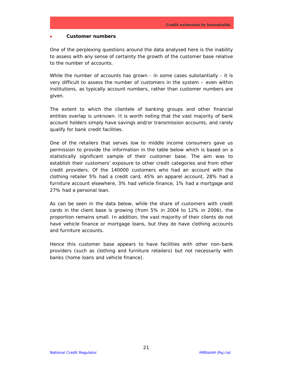#### • **Customer numbers**

One of the perplexing questions around the data analysed here is the inability to assess with any sense of certainty the growth of the customer base relative to the number of accounts.

While the number of accounts has grown - in some cases substantially - it is very difficult to assess the number of customers in the system – even within institutions, as typically account numbers, rather than customer numbers are given.

The extent to which the clientele of banking groups and other financial entities overlap is unknown. It is worth noting that the vast majority of bank account holders simply have savings and/or transmission accounts, and rarely qualify for bank credit facilities.

One of the retailers that serves low to middle income consumers gave us permission to provide the information in the table below which is based on a statistically significant sample of their customer base. The aim was to establish their customers' exposure to other credit categories and from other credit providers. Of the 140000 customers who had an account with the clothing retailer 5% had a credit card, 45% an apparel account, 28% had a furniture account elsewhere, 3% had vehicle finance, 1% had a mortgage and 27% had a personal loan.

As can be seen in the data below, while the share of customers with credit cards in the client base is growing (from 5% in 2004 to 12% in 2006), the proportion remains small. In addition, the vast majority of their clients do not have vehicle finance or mortgage loans, but they do have clothing accounts and furniture accounts.

Hence this customer base appears to have facilities with other non-bank providers (such as clothing and furniture retailers) but not necessarily with banks (home loans and vehicle finance).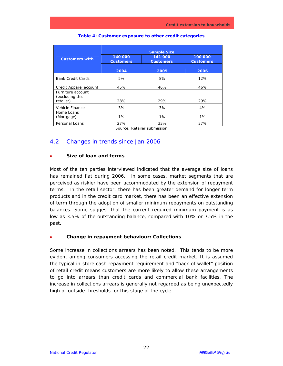|                                      | <b>Sample Size</b>                                         |       |                             |  |  |
|--------------------------------------|------------------------------------------------------------|-------|-----------------------------|--|--|
| <b>Customers with</b>                | 140 000<br>141 000<br><b>Customers</b><br><b>Customers</b> |       | 100 000<br><b>Customers</b> |  |  |
|                                      | 2004                                                       | 2005  | 2006                        |  |  |
| <b>Bank Credit Cards</b>             | 5%                                                         | 8%    | 12%                         |  |  |
| Credit Apparel account               | 45%                                                        | 46%   | 46%                         |  |  |
| Furniture account<br>(excluding this |                                                            |       |                             |  |  |
| retailer)                            | 28%                                                        | 29%   | 29%                         |  |  |
| Vehicle Finance                      | 3%                                                         | 3%    | 4%                          |  |  |
| Home Loans<br>(Mortgage)             | $1\%$                                                      | $1\%$ | $1\%$                       |  |  |
| Personal Loans                       | 27%                                                        | 33%   | 37%                         |  |  |

#### **Table 4: Customer exposure to other credit categories**

*Source: Retailer submission* 

# 4.2 Changes in trends since Jan 2006

### • **Size of loan and terms**

Most of the ten parties interviewed indicated that the average size of loans has remained flat during 2006. In some cases, market segments that are perceived as riskier have been accommodated by the extension of repayment terms. In the retail sector, there has been greater demand for longer term products and in the credit card market, there has been an effective extension of term through the adoption of smaller minimum repayments on outstanding balances. Some suggest that the current required minimum payment is as low as 3.5% of the outstanding balance, compared with 10% or 7.5% in the past.

### • **Change in repayment behaviour: Collections**

Some increase in collections arrears has been noted. This tends to be more evident among consumers accessing the retail credit market. It is assumed the typical in-store cash repayment requirement and "back of wallet" position of retail credit means customers are more likely to allow these arrangements to go into arrears than credit cards and commercial bank facilities. The increase in collections arrears is generally not regarded as being unexpectedly high or outside thresholds for this stage of the cycle.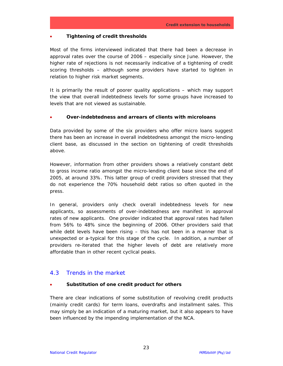### • **Tightening of credit thresholds**

Most of the firms interviewed indicated that there had been a decrease in approval rates over the course of 2006 – especially since June. However, the higher rate of rejections is not necessarily indicative of a tightening of credit scoring thresholds – although some providers have started to tighten in relation to higher risk market segments.

It is primarily the result of poorer quality applications – which may support the view that overall indebtedness levels for some groups have increased to levels that are not viewed as sustainable.

### • **Over-indebtedness and arrears of clients with microloans**

Data provided by some of the six providers who offer micro loans suggest there has been an increase in overall indebtedness amongst the micro-lending client base, as discussed in the section on tightening of credit thresholds above.

However, information from other providers shows a relatively constant debt to gross income ratio amongst the micro-lending client base since the end of 2005, at around 33%. This latter group of credit providers stressed that they do not experience the 70% household debt ratios so often quoted in the press.

In general, providers only check overall indebtedness levels for new applicants, so assessments of over-indebtedness are manifest in approval rates of new applicants. One provider indicated that approval rates had fallen from 56% to 48% since the beginning of 2006. Other providers said that while debt levels have been rising – this has not been in a manner that is unexpected or a-typical for this stage of the cycle. In addition, a number of providers re-iterated that the higher levels of debt are relatively more affordable than in other recent cyclical peaks.

# 4.3 Trends in the market

### • **Substitution of one credit product for others**

There are clear indications of some substitution of revolving credit products (mainly credit cards) for term loans, overdrafts and installment sales. This may simply be an indication of a maturing market, but it also appears to have been influenced by the impending implementation of the NCA.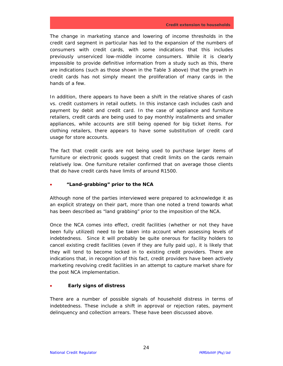The change in marketing stance and lowering of income thresholds in the credit card segment in particular has led to the expansion of the numbers of consumers with credit cards, with some indications that this includes previously unserviced low-middle income consumers. While it is clearly impossible to provide definitive information from a study such as this, there are indications (such as those shown in the Table 3 above) that the growth in credit cards has not simply meant the proliferation of many cards in the hands of a few.

In addition, there appears to have been a shift in the relative shares of cash vs. credit customers in retail outlets. In this instance cash includes cash and payment by debit and credit card. In the case of appliance and furniture retailers, credit cards are being used to pay monthly installments and smaller appliances, while accounts are still being opened for big ticket items. For clothing retailers, there appears to have some substitution of credit card usage for store accounts.

The fact that credit cards are not being used to purchase larger items of furniture or electronic goods suggest that credit limits on the cards remain relatively low. One furniture retailer confirmed that on average those clients that do have credit cards have limits of around R1500.

### • **"Land-grabbing" prior to the NCA**

Although none of the parties interviewed were prepared to acknowledge it as an explicit strategy on their part, more than one noted a trend towards what has been described as "land grabbing" prior to the imposition of the NCA.

Once the NCA comes into effect, credit facilities (whether or not they have been fully utilized) need to be taken into account when assessing levels of indebtedness. Since it will probably be quite onerous for facility holders to cancel existing credit facilities (even if they are fully paid up), it is likely that they will tend to become locked in to existing credit providers. There are indications that, in recognition of this fact, credit providers have been actively marketing revolving credit facilities in an attempt to capture market share for the post NCA implementation.

### • **Early signs of distress**

There are a number of possible signals of household distress in terms of indebtedness. These include a shift in approval or rejection rates, payment delinquency and collection arrears. These have been discussed above.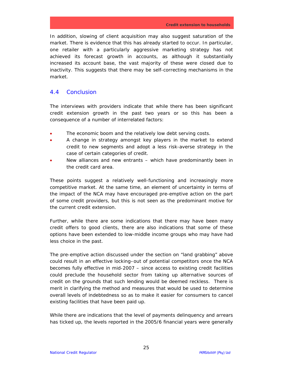In addition, slowing of client acquisition may also suggest saturation of the market. There is evidence that this has already started to occur. In particular, one retailer with a particularly aggressive marketing strategy has not achieved its forecast growth in accounts, as although it substantially increased its account base, the vast majority of these were closed due to inactivity. This suggests that there may be self-correcting mechanisms in the market.

# 4.4 Conclusion

The interviews with providers indicate that while there has been significant credit extension growth in the past two years or so this has been a consequence of a number of interrelated factors:

- The economic boom and the relatively low debt serving costs.
- A change in strategy amongst key players in the market to extend credit to new segments and adopt a less risk-averse strategy in the case of certain categories of credit.
- New alliances and new entrants which have predominantly been in the credit card area.

These points suggest a relatively well-functioning and increasingly more competitive market. At the same time, an element of uncertainty in terms of the impact of the NCA may have encouraged pre-emptive action on the part of some credit providers, but this is not seen as the predominant motive for the current credit extension.

Further, while there are some indications that there may have been many credit offers to good clients, there are also indications that some of these options have been extended to low-middle income groups who may have had less choice in the past.

The pre-emptive action discussed under the section on "land grabbing" above could result in an effective locking–out of potential competitors once the NCA becomes fully effective in mid-2007 – since access to existing credit facilities could preclude the household sector from taking up alternative sources of credit on the grounds that such lending would be deemed reckless. There is merit in clarifying the method and measures that would be used to determine overall levels of indebtedness so as to make it easier for consumers to cancel existing facilities that have been paid up.

While there are indications that the level of payments delinquency and arrears has ticked up, the levels reported in the 2005/6 financial years were generally